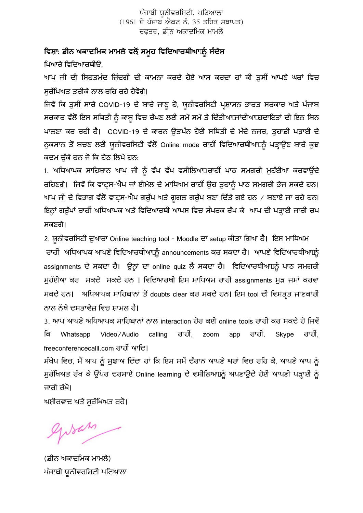ਪੰਜਾਬੀ ਯੂਨੀਵਰਸਿਟੀ, ਪਟਿਆਲਾ  $(1961$  ਦੇ ਪੰਜਾਬ ਐਕਟ ਨੰ. 35 ਤਹਿਤ ਸਥਾਪਤ) ਦਫਤਰ, ਡੀਨ ਅਕਾਦਮਿਕ ਮਾਮਲੇ

## ਵਿਸ਼ਾ: ਡੀਨ ਅਕਾਦਮਿਕ ਮਾਮਲੇ ਵਲੋਂ ਸਮੂਹ ਵਿਦਿਆਰਥੀਆ<u>ਂ ਨੂੰ</u> ਸੰਦੇਸ਼

ਪਿਆਰੇ ਵਿਦਿਆਰਥੀਓ,

ਆਪ ਜੀ ਦੀ ਸਿਹਤਮੰਦ ਜ਼ਿੰਦਗੀ ਦੀ ਕਾਮਨਾ ਕਰਦੇ ਹੋਏ ਆਸ ਕਰਦਾ ਹਾਂ ਕੀ ਤੁਸੀਂ ਆਪਣੇ ਘਰਾਂ ਵਿਚ ਸੁਰੱਿਖਅਤ ਤਰੀਕੇ ਨਾਲ ਰਿਹ ਰਹੇ ਹੋਵੋਗੇ।

ਜਿਵੇਂ ਕਿ ਤੁਸੀਂ ਸਾਰੇ COVID-19 ਦੇ ਬਾਰੇ ਜਾਣੂ ਹੋ, ਯੂਨੀਵਰਸਿਟੀ ਪ੍ਰਸ਼ਾਸਨ ਭਾਰਤ ਸਰਕਾਰ ਅਤੇ ਪੰਜਾਬ ਸਰਕਾਰ ਵੱਲੋਂ ਇਸ ਸਥਿਤੀ ਨੂੰ ਕਾਬੂ ਵਿਚ ਰੱਖਣ ਲਈ ਸਮੇਂ ਸਮੇਂ ਤੇ ਦਿੱਤੀਆਂ ਜਾਂਦੀਆਂ ਹਦਾਇਤਾਂ ਦੀ ਇਨ ਬਿਨ ਪਾਲਣਾ ਕਰ ਰਹੀ ਹੈ। COVID-19 ਦੇ ਕਾਰਨ ਉਤਪੰਨ ਹੋਈ ਸਿਥਤੀ ਦੇ ਮੱਦੇ ਨਜ਼ਰ, ਤੁਹਾਡੀ ਪੜਾਈ ਦੇ ਨੁਕਸਾਨ ਤੋਂ ਬਚਣ ਲਈ ਯੂਨੀਵਰਸਿਟੀ ਵੱਲੋਂ Online mode ਰਾਹੀਂ ਵਿਦਿਆਰਥੀਆਂ ਨੂੰ ਪੜ੍ਹਾਉਣ ਬਾਰੇ ਕੁਝ ਕਦਮ ਚੱਕੇ ਹਨ ਜੋ ਕਿ ਹੇਠ ਲਿਖੇ ਹਨ:

1. ਅਧਿਆਪਕ ਸਾਹਿਬਾਨ ਆਪ ਜੀ ਨੂੰ ਵੱਖ ਵੱਖ ਵਸੀਲਿਆਂ ਰਾਹੀਂ ਪਾਠ ਸਮਗਰੀ ਮੁਹੱਈਆ ਕਰਵਾਉਂਦੇ ਰਹਿਣਗੇ। ਜਿਵੇਂ ਕਿ ਵਾਟ੍ਸ-ਐਪ ਜਾਂ ਈਮੇਲ ਦੇ ਮਾਧਿਅਮ ਰਾਹੀਂ ਉਹ ਤੁਹਾਨੂੰ ਪਾਠ ਸਮਗਰੀ ਭੇਜ ਸਕਦੇ ਹਨ। ਆਪ ਜੀ ਦੇ ਵਿਭਾਗ ਵੱਲੋਂ ਵਾਟਸ-ਐਪ ਗਰੁੱਪ ਅਤੇ ਗੂਗਲ ਗਰੁੱਪ ਬਣਾ ਦਿੱਤੇ ਗਏ ਹਨ / ਬਣਾਏ ਜਾ ਰਹੇ ਹਨ। ਇਨ੍ਹਾਂ ਗਰੁੱਪਾਂ ਰਾਹੀਂ ਅਧਿਆਪਕ ਅਤੇ ਵਿਦਿਆਰਥੀ ਆਪਸ ਵਿਚ ਸੰਪਰਕ ਰੱਖ ਕੇ ਆਪ ਦੀ ਪੜ੍ਹਾਈ ਜਾਰੀ ਰਖ ਸਕਣਗੇ।

2. ਯੂਨੀਵਰਿਸਟੀ ਦੁਆਰਾ Online teaching tool - Moodle ਦਾ setup ਕੀਤਾ ਿਗਆ ਹੈ। ਇਸ ਮਾਿਧਅਮ ਰਾਹੀਂ ਅਧਿਆਪਕ ਆਪਣੇ ਵਿਦਿਆਰਥੀਆਂ ਨੂੰ announcements ਕਰ ਸਕਦਾ ਹੈ। ਆਪਣੇ ਵਿਦਿਆਰਥੀਆਂ ਨੂੰ assignments ਦੇ ਸਕਦਾ ਹੈ। ਉਨ੍ਹਾਂ ਦਾ online quiz ਲੈ ਸਕਦਾ ਹੈ। ਵਿਦਿਆਰਥੀਆਂ ਨੂੰ ਪਾਠ ਸਮਗਰੀ ਮੁਹੱਈਆ ਕਰ ਸਕਦੇ ਸਕਦੇ ਹਨ। ਵਿਦਿਆਰਥੀ ਇਸ ਮਾਧਿਅਮ ਰਾਹੀਂ assignments ਮੁੜ ਜਮਾਂ ਕਰਵਾ ਸਕਦੇ ਹਨ। ਅਧਿਆਪਕ ਸਾਹਿਬਾਨਾਂ ਤੋਂ doubts clear ਕਰ ਸਕਦੇ ਹਨ। ਇਸ tool ਦੀ ਵਿਸਤਤ ਜਾਣਕਾਰੀ ਨਾਲ ਨੱਥੇ ਦਸਤਾਵੇਜ਼ ਵਿਚ ਸ਼ਾਮਲ ਹੈ।

3. ਆਪ ਆਪਣੇ ਅਧਿਆਪਕ ਸਾਹਿਬਾਨਾਂ ਨਾਲ interaction ਹੋਰ ਕਈ online tools ਰਾਹੀਂ ਕਰ ਸਕਦੇ ਹੋ ਜਿਵੇਂ ਕਿ Whatsapp Video/Audio calling ਰਾਹੀ, zoom app ਰਾਹੀ, Skype ਰਾਹੀ, freeconferencecalll.com ਰਾਹੀਂ ਆਦਿ।

ਸੰਖੇਪ ਵਿਚ, ਮੈਂ ਆਪ ਨੂੰ ਸੁਝਾਅ ਦਿੰਦਾ ਹਾਂ ਕਿ ਇਸ ਸਮੇਂ ਦੌਰਾਨ ਆਪਣੇ ਘਰਾਂ ਵਿਚ ਰਹਿ ਕੇ, ਆਪਣੇ ਆਪ ਨੂੰ ਸੁਰੱਖਿਅਤ ਰੱਖ ਕੇ ਉੱਪਰ ਦਰਸਾਏ Online learning ਦੇ ਵਸੀਲਿਆਂ ਨੂੰ ਅਪਣਾਉਂਦੇ ਹੋਈ ਆਪਣੀ ਪੜ੍ਹਾਈ ਨੂੰ ਜਾਰੀ ਰੱਖੋ।

ਅਸ਼ੀਰਵਾਦ ਅਤੇ ਸਰੱਖਿਅਤ ਰਹੋ।

giran

(ਡੀਨ ਅਕਾਦਿਮਕ ਮਾਮਲੇ) ਪੰਜਾਬੀ ਯੂਨੀਵਰਿਸਟੀ ਪਿਟਆਲਾ